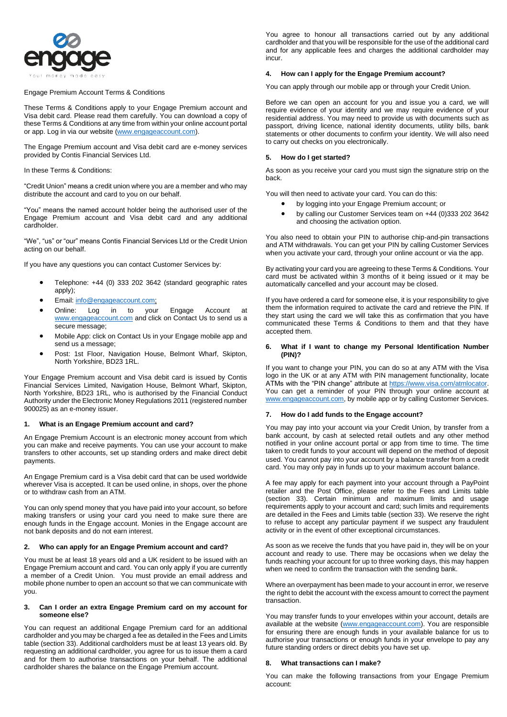

Engage Premium Account Terms & Conditions

These Terms & Conditions apply to your Engage Premium account and Visa debit card. Please read them carefully. You can download a copy of these Terms & Conditions at any time from within your online account portal or app. Log in via our website [\(www.engageaccount.com\)](http://www.engageaccount.com/).

The Engage Premium account and Visa debit card are e-money services provided by Contis Financial Services Ltd.

In these Terms & Conditions:

"Credit Union" means a credit union where you are a member and who may distribute the account and card to you on our behalf.

"You" means the named account holder being the authorised user of the Engage Premium account and Visa debit card and any additional cardholder.

"We", "us" or "our" means Contis Financial Services Ltd or the Credit Union acting on our behalf.

If you have any questions you can contact Customer Services by:

- Telephone: +44 (0) 333 202 3642 (standard geographic rates apply);
- Email: [info@engageaccount.com;](mailto:info@engageaccount.com)
- Online: Log in to your Engage Account at [www.engageaccount.com](http://www.engageaccount.com/) and click on Contact Us to send us a secure message;
- Mobile App: click on Contact Us in your Engage mobile app and send us a message;
- Post: 1st Floor, Navigation House, Belmont Wharf, Skipton, North Yorkshire, BD23 1RL.

Your Engage Premium account and Visa debit card is issued by Contis Financial Services Limited, Navigation House, Belmont Wharf, Skipton, North Yorkshire, BD23 1RL, who is authorised by the Financial Conduct Authority under the Electronic Money Regulations 2011 (registered number 900025) as an e-money issuer.

#### **1. What is an Engage Premium account and card?**

An Engage Premium Account is an electronic money account from which you can make and receive payments. You can use your account to make transfers to other accounts, set up standing orders and make direct debit payments.

An Engage Premium card is a Visa debit card that can be used worldwide wherever Visa is accepted. It can be used online, in shops, over the phone or to withdraw cash from an ATM.

You can only spend money that you have paid into your account, so before making transfers or using your card you need to make sure there are enough funds in the Engage account. Monies in the Engage account are not bank deposits and do not earn interest.

#### **2. Who can apply for an Engage Premium account and card?**

You must be at least 18 years old and a UK resident to be issued with an Engage Premium account and card. You can only apply if you are currently a member of a Credit Union. You must provide an email address and mobile phone number to open an account so that we can communicate with you.

#### **3. Can I order an extra Engage Premium card on my account for someone else?**

You can request an additional Engage Premium card for an additional cardholder and you may be charged a fee as detailed in the Fees and Limits table (section 33). Additional cardholders must be at least 13 years old. By requesting an additional cardholder, you agree for us to issue them a card and for them to authorise transactions on your behalf. The additional cardholder shares the balance on the Engage Premium account.

You agree to honour all transactions carried out by any additional cardholder and that you will be responsible for the use of the additional card and for any applicable fees and charges the additional cardholder may incur.

## **4. How can I apply for the Engage Premium account?**

You can apply through our mobile app or through your Credit Union.

Before we can open an account for you and issue you a card, we will require evidence of your identity and we may require evidence of your residential address. You may need to provide us with documents such as passport, driving licence, national identity documents, utility bills, bank statements or other documents to confirm your identity. We will also need to carry out checks on you electronically.

# **5. How do I get started?**

As soon as you receive your card you must sign the signature strip on the back.

You will then need to activate your card. You can do this:

- by logging into your Engage Premium account; or
- by calling our Customer Services team on +44 (0)333 202 3642 and choosing the activation option.

You also need to obtain your PIN to authorise chip-and-pin transactions and ATM withdrawals. You can get your PIN by calling Customer Services when you activate your card, through your online account or via the app.

By activating your card you are agreeing to these Terms & Conditions. Your card must be activated within 3 months of it being issued or it may be automatically cancelled and your account may be closed.

If you have ordered a card for someone else, it is your responsibility to give them the information required to activate the card and retrieve the PIN. If they start using the card we will take this as confirmation that you have communicated these Terms & Conditions to them and that they have accepted them.

### **6. What if I want to change my Personal Identification Number (PIN)?**

If you want to change your PIN, you can do so at any ATM with the Visa logo in the UK or at any ATM with PIN management functionality, locate ATMs with the "PIN change" attribute at [https://www.visa.com/atmlocator.](https://www.visa.com/atmlocator) You can get a reminder of your PIN through your online account at [www.engageaccount.com,](http://www.engageaccount.com/) by mobile app or by calling Customer Services.

# **7. How do I add funds to the Engage account?**

You may pay into your account via your Credit Union, by transfer from a bank account, by cash at selected retail outlets and any other method notified in your online account portal or app from time to time. The time taken to credit funds to your account will depend on the method of deposit used. You cannot pay into your account by a balance transfer from a credit card. You may only pay in funds up to your maximum account balance.

A fee may apply for each payment into your account through a PayPoint retailer and the Post Office, please refer to the Fees and Limits table (section 33). Certain minimum and maximum limits and usage requirements apply to your account and card; such limits and requirements are detailed in the Fees and Limits table (section 33). We reserve the right to refuse to accept any particular payment if we suspect any fraudulent activity or in the event of other exceptional circumstances.

As soon as we receive the funds that you have paid in, they will be on your account and ready to use. There may be occasions when we delay the funds reaching your account for up to three working days, this may happen when we need to confirm the transaction with the sending bank.

Where an overpayment has been made to your account in error, we reserve the right to debit the account with the excess amount to correct the payment transaction.

You may transfer funds to your envelopes within your account, details are available at the website [\(www.engageaccount.com\)](http://www.engageaccount.com/). You are responsible for ensuring there are enough funds in your available balance for us to authorise your transactions or enough funds in your envelope to pay any future standing orders or direct debits you have set up.

### **8. What transactions can I make?**

You can make the following transactions from your Engage Premium account: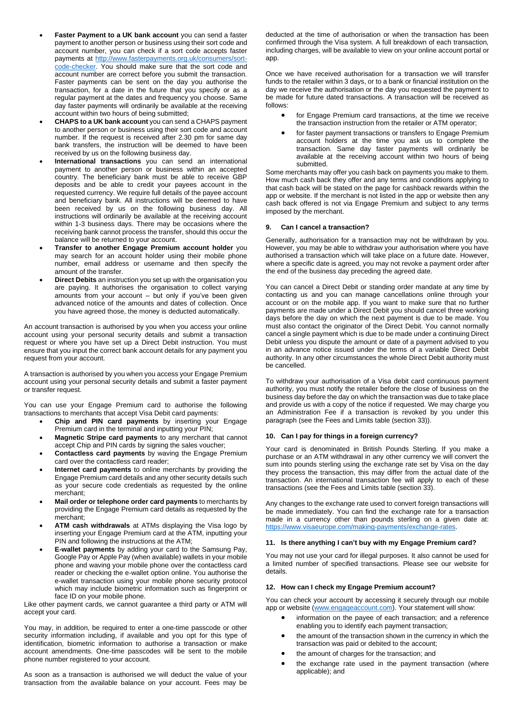- Faster Payment to a UK bank account you can send a faster payment to another person or business using their sort code and account number, you can check if a sort code accepts faster payments at [http://www.fasterpayments.org.uk/consumers/sort](http://www.fasterpayments.org.uk/consumers/sort-code-checker)[code-checker.](http://www.fasterpayments.org.uk/consumers/sort-code-checker) You should make sure that the sort code and account number are correct before you submit the transaction. Faster payments can be sent on the day you authorise the transaction, for a date in the future that you specify or as a regular payment at the dates and frequency you choose. Same day faster payments will ordinarily be available at the receiving account within two hours of being submitted;
- **CHAPS to a UK bank account** you can send a CHAPS payment to another person or business using their sort code and account number. If the request is received after 2.30 pm for same day bank transfers, the instruction will be deemed to have been received by us on the following business day.
- **International transactions** you can send an international payment to another person or business within an accepted country. The beneficiary bank must be able to receive GBP deposits and be able to credit your payees account in the requested currency. We require full details of the payee account and beneficiary bank. All instructions will be deemed to have been received by us on the following business day. All instructions will ordinarily be available at the receiving account within 1-3 business days. There may be occasions where the receiving bank cannot process the transfer, should this occur the balance will be returned to your account.
- **Transfer to another Engage Premium account holder** you may search for an account holder using their mobile phone number, email address or username and then specify the amount of the transfer.
- **Direct Debits** an instruction you set up with the organisation you are paying. It authorises the organisation to collect varying amounts from your account – but only if you've been given advanced notice of the amounts and dates of collection. Once you have agreed those, the money is deducted automatically.

An account transaction is authorised by you when you access your online account using your personal security details and submit a transaction request or where you have set up a Direct Debit instruction. You must ensure that you input the correct bank account details for any payment you request from your account.

A transaction is authorised by you when you access your Engage Premium account using your personal security details and submit a faster payment or transfer request.

You can use your Engage Premium card to authorise the following transactions to merchants that accept Visa Debit card payments:

- **Chip and PIN card payments** by inserting your Engage Premium card in the terminal and inputting your PIN;
- **Magnetic Stripe card payments** to any merchant that cannot accept Chip and PIN cards by signing the sales voucher;
- **Contactless card payments** by waving the Engage Premium card over the contactless card reader;
- **Internet card payments** to online merchants by providing the Engage Premium card details and any other security details such as your secure code credentials as requested by the online merchant;
- **Mail order or telephone order card payments** to merchants by providing the Engage Premium card details as requested by the merchant;
- **ATM cash withdrawals** at ATMs displaying the Visa logo by inserting your Engage Premium card at the ATM, inputting your PIN and following the instructions at the ATM;
- **E-wallet payments** by adding your card to the Samsung Pay, Google Pay or Apple Pay (when available) wallets in your mobile phone and waving your mobile phone over the contactless card reader or checking the e-wallet option online. You authorise the e-wallet transaction using your mobile phone security protocol which may include biometric information such as fingerprint or face ID on your mobile phone.

Like other payment cards, we cannot guarantee a third party or ATM will accept your card.

You may, in addition, be required to enter a one-time passcode or other security information including, if available and you opt for this type of identification, biometric information to authorise a transaction or make account amendments. One-time passcodes will be sent to the mobile phone number registered to your account.

As soon as a transaction is authorised we will deduct the value of your transaction from the available balance on your account. Fees may be deducted at the time of authorisation or when the transaction has been confirmed through the Visa system. A full breakdown of each transaction, including charges, will be available to view on your online account portal or app.

Once we have received authorisation for a transaction we will transfer funds to the retailer within 3 days, or to a bank or financial institution on the day we receive the authorisation or the day you requested the payment to be made for future dated transactions. A transaction will be received as follows:

- for Engage Premium card transactions, at the time we receive the transaction instruction from the retailer or ATM operator;
- for faster payment transactions or transfers to Engage Premium account holders at the time you ask us to complete the transaction. Same day faster payments will ordinarily be available at the receiving account within two hours of being submitted.

Some merchants may offer you cash back on payments you make to them. How much cash back they offer and any terms and conditions applying to that cash back will be stated on the page for cashback rewards within the app or website. If the merchant is not listed in the app or website then any cash back offered is not via Engage Premium and subject to any terms imposed by the merchant.

# **9. Can I cancel a transaction?**

Generally, authorisation for a transaction may not be withdrawn by you. However, you may be able to withdraw your authorisation where you have authorised a transaction which will take place on a future date. However, where a specific date is agreed, you may not revoke a payment order after the end of the business day preceding the agreed date.

You can cancel a Direct Debit or standing order mandate at any time by contacting us and you can manage cancellations online through your account or on the mobile app. If you want to make sure that no further payments are made under a Direct Debit you should cancel three working days before the day on which the next payment is due to be made. You must also contact the originator of the Direct Debit. You cannot normally cancel a single payment which is due to be made under a continuing Direct Debit unless you dispute the amount or date of a payment advised to you in an advance notice issued under the terms of a variable Direct Debit authority. In any other circumstances the whole Direct Debit authority must be cancelled.

To withdraw your authorisation of a Visa debit card continuous payment authority, you must notify the retailer before the close of business on the business day before the day on which the transaction was due to take place and provide us with a copy of the notice if requested. We may charge you an Administration Fee if a transaction is revoked by you under this paragraph (see the Fees and Limits table (section 33)).

# **10. Can I pay for things in a foreign currency?**

Your card is denominated in British Pounds Sterling. If you make a purchase or an ATM withdrawal in any other currency we will convert the sum into pounds sterling using the exchange rate set by Visa on the day they process the transaction, this may differ from the actual date of the transaction. An international transaction fee will apply to each of these transactions (see the Fees and Limits table (section 33).

Any changes to the exchange rate used to convert foreign transactions will be made immediately. You can find the exchange rate for a transaction made in a currency other than pounds sterling on a given date at: [https://www.visaeurope.com/making-payments/exchange-rates.](https://www.visaeurope.com/making-payments/exchange-rates)

# **11. Is there anything I can't buy with my Engage Premium card?**

You may not use your card for illegal purposes. It also cannot be used for a limited number of specified transactions. Please see our website for details.

# **12. How can I check my Engage Premium account?**

You can check your account by accessing it securely through our mobile app or website [\(www.engageaccount.com\)](http://www.engageaccount.com/). Your statement will show:

- information on the payee of each transaction; and a reference enabling you to identify each payment transaction;
- the amount of the transaction shown in the currency in which the transaction was paid or debited to the account;
- the amount of charges for the transaction; and
- the exchange rate used in the payment transaction (where applicable); and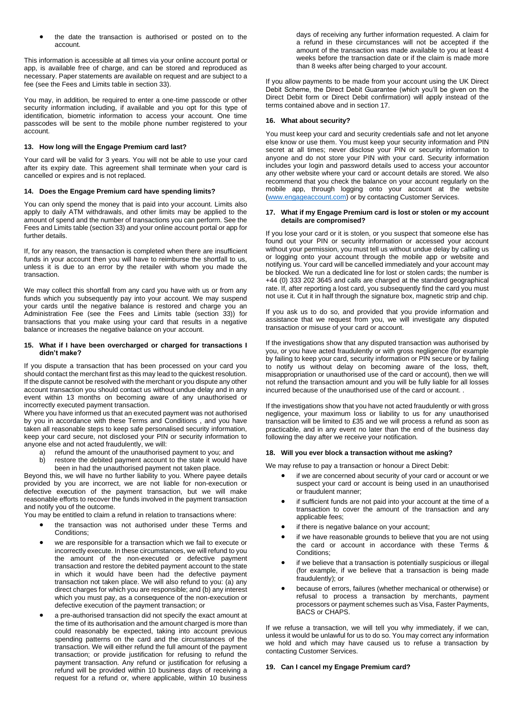• the date the transaction is authorised or posted on to the account.

This information is accessible at all times via your online account portal or app, is available free of charge, and can be stored and reproduced as necessary. Paper statements are available on request and are subject to a fee (see the Fees and Limits table in section 33).

You may, in addition, be required to enter a one-time passcode or other security information including, if available and you opt for this type of identification, biometric information to access your account. One time passcodes will be sent to the mobile phone number registered to your account.

# **13. How long will the Engage Premium card last?**

Your card will be valid for 3 years. You will not be able to use your card after its expiry date. This agreement shall terminate when your card is cancelled or expires and is not replaced.

# **14. Does the Engage Premium card have spending limits?**

You can only spend the money that is paid into your account. Limits also apply to daily ATM withdrawals, and other limits may be applied to the amount of spend and the number of transactions you can perform. See the Fees and Limits table (section 33) and your online account portal or app for further details.

If, for any reason, the transaction is completed when there are insufficient funds in your account then you will have to reimburse the shortfall to us, unless it is due to an error by the retailer with whom you made the transaction.

We may collect this shortfall from any card you have with us or from any funds which you subsequently pay into your account. We may suspend your cards until the negative balance is restored and charge you an Administration Fee (see the Fees and Limits table (section 33)) for transactions that you make using your card that results in a negative balance or increases the negative balance on your account.

#### **15. What if I have been overcharged or charged for transactions I didn't make?**

If you dispute a transaction that has been processed on your card you should contact the merchant first as this may lead to the quickest resolution. If the dispute cannot be resolved with the merchant or you dispute any other account transaction you should contact us without undue delay and in any event within 13 months on becoming aware of any unauthorised or incorrectly executed payment transaction.

Where you have informed us that an executed payment was not authorised by you in accordance with these Terms and Conditions , and you have taken all reasonable steps to keep safe personalised security information, keep your card secure, not disclosed your PIN or security information to anyone else and not acted fraudulently, we will:

- a) refund the amount of the unauthorised payment to you; and
- b) restore the debited payment account to the state it would have been in had the unauthorised payment not taken place.

Beyond this, we will have no further liability to you. Where payee details provided by you are incorrect, we are not liable for non-execution or defective execution of the payment transaction, but we will make reasonable efforts to recover the funds involved in the payment transaction and notify you of the outcome.

You may be entitled to claim a refund in relation to transactions where:

- the transaction was not authorised under these Terms and Conditions;
- we are responsible for a transaction which we fail to execute or incorrectly execute. In these circumstances, we will refund to you the amount of the non-executed or defective payment transaction and restore the debited payment account to the state in which it would have been had the defective payment transaction not taken place. We will also refund to you: (a) any direct charges for which you are responsible; and (b) any interest which you must pay, as a consequence of the non-execution or defective execution of the payment transaction; or
- a pre-authorised transaction did not specify the exact amount at the time of its authorisation and the amount charged is more than could reasonably be expected, taking into account previous spending patterns on the card and the circumstances of the transaction. We will either refund the full amount of the payment transaction; or provide justification for refusing to refund the payment transaction. Any refund or justification for refusing a refund will be provided within 10 business days of receiving a request for a refund or, where applicable, within 10 business

days of receiving any further information requested. A claim for a refund in these circumstances will not be accepted if the amount of the transaction was made available to you at least 4 weeks before the transaction date or if the claim is made more than 8 weeks after being charged to your account.

If you allow payments to be made from your account using the UK Direct Debit Scheme, the Direct Debit Guarantee (which you'll be given on the Direct Debit form or Direct Debit confirmation) will apply instead of the terms contained above and in section 17.

### **16. What about security?**

You must keep your card and security credentials safe and not let anyone else know or use them. You must keep your security information and PIN secret at all times; never disclose your PIN or security information to anyone and do not store your PIN with your card. Security information includes your login and password details used to access your accountor any other website where your card or account details are stored. We also recommend that you check the balance on your account regularly on the mobile app, through logging onto your account at the website [\(www.engageaccount.com\)](http://www.engageaccount.com/) or by contacting Customer Services.

#### **17. What if my Engage Premium card is lost or stolen or my account details are compromised?**

If you lose your card or it is stolen, or you suspect that someone else has found out your PIN or security information or accessed your account without your permission, you must tell us without undue delay by calling us or logging onto your account through the mobile app or website and notifying us. Your card will be cancelled immediately and your account may be blocked. We run a dedicated line for lost or stolen cards; the number is +44 (0) 333 202 3645 and calls are charged at the standard geographical rate. If, after reporting a lost card, you subsequently find the card you must not use it. Cut it in half through the signature box, magnetic strip and chip.

If you ask us to do so, and provided that you provide information and assistance that we request from you, we will investigate any disputed transaction or misuse of your card or account.

If the investigations show that any disputed transaction was authorised by you, or you have acted fraudulently or with gross negligence (for example by failing to keep your card, security information or PIN secure or by failing to notify us without delay on becoming aware of the loss, theft, misappropriation or unauthorised use of the card or account), then we will not refund the transaction amount and you will be fully liable for all losses incurred because of the unauthorised use of the card or account. .

If the investigations show that you have not acted fraudulently or with gross negligence, your maximum loss or liability to us for any unauthorised transaction will be limited to £35 and we will process a refund as soon as practicable, and in any event no later than the end of the business day following the day after we receive your notification.

## **18. Will you ever block a transaction without me asking?**

We may refuse to pay a transaction or honour a Direct Debit:

- if we are concerned about security of your card or account or we suspect your card or account is being used in an unauthorised or fraudulent manner;
- if sufficient funds are not paid into your account at the time of a transaction to cover the amount of the transaction and any applicable fees;
- if there is negative balance on your account;
- if we have reasonable grounds to believe that you are not using the card or account in accordance with these Terms & Conditions;
- if we believe that a transaction is potentially suspicious or illegal (for example, if we believe that a transaction is being made fraudulently); or
- because of errors, failures (whether mechanical or otherwise) or refusal to process a transaction by merchants, payment processors or payment schemes such as Visa, Faster Payments, BACS or CHAPS.

If we refuse a transaction, we will tell you why immediately, if we can, unless it would be unlawful for us to do so. You may correct any information we hold and which may have caused us to refuse a transaction by contacting Customer Services.

#### **19. Can I cancel my Engage Premium card?**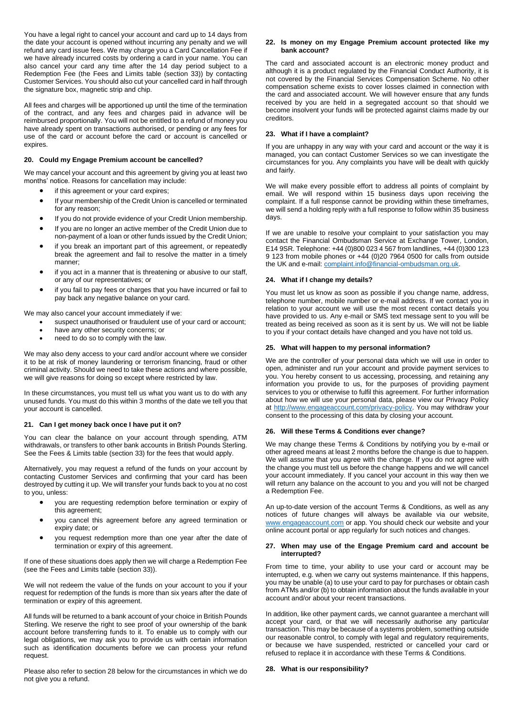You have a legal right to cancel your account and card up to 14 days from the date your account is opened without incurring any penalty and we will refund any card issue fees. We may charge you a Card Cancellation Fee if we have already incurred costs by ordering a card in your name. You can also cancel your card any time after the 14 day period subject to a Redemption Fee (the Fees and Limits table (section 33)) by contacting Customer Services. You should also cut your cancelled card in half through the signature box, magnetic strip and chip.

All fees and charges will be apportioned up until the time of the termination of the contract, and any fees and charges paid in advance will be reimbursed proportionally. You will not be entitled to a refund of money you have already spent on transactions authorised, or pending or any fees for use of the card or account before the card or account is cancelled or expires.

# **20. Could my Engage Premium account be cancelled?**

We may cancel your account and this agreement by giving you at least two months' notice. Reasons for cancellation may include:

- if this agreement or your card expires;
- If your membership of the Credit Union is cancelled or terminated for any reason;
- If you do not provide evidence of your Credit Union membership.
- If you are no longer an active member of the Credit Union due to non-payment of a loan or other funds issued by the Credit Union;
- if you break an important part of this agreement, or repeatedly break the agreement and fail to resolve the matter in a timely manner;
- if you act in a manner that is threatening or abusive to our staff, or any of our representatives; or
- if you fail to pay fees or charges that you have incurred or fail to pay back any negative balance on your card.

We may also cancel your account immediately if we:

- suspect unauthorised or fraudulent use of your card or account;
- have any other security concerns; or
- need to do so to comply with the law.

We may also deny access to your card and/or account where we consider it to be at risk of money laundering or terrorism financing, fraud or other criminal activity. Should we need to take these actions and where possible, we will give reasons for doing so except where restricted by law.

In these circumstances, you must tell us what you want us to do with any unused funds. You must do this within 3 months of the date we tell you that your account is cancelled.

#### **21. Can I get money back once I have put it on?**

You can clear the balance on your account through spending, ATM withdrawals, or transfers to other bank accounts in British Pounds Sterling. See the Fees & Limits table (section 33) for the fees that would apply.

Alternatively, you may request a refund of the funds on your account by contacting Customer Services and confirming that your card has been destroyed by cutting it up. We will transfer your funds back to you at no cost to you, unless:

- you are requesting redemption before termination or expiry of this agreement;
- you cancel this agreement before any agreed termination or expiry date; or
- you request redemption more than one year after the date of termination or expiry of this agreement.

If one of these situations does apply then we will charge a Redemption Fee (see the Fees and Limits table (section 33)).

We will not redeem the value of the funds on your account to you if your request for redemption of the funds is more than six years after the date of termination or expiry of this agreement.

All funds will be returned to a bank account of your choice in British Pounds Sterling. We reserve the right to see proof of your ownership of the bank account before transferring funds to it. To enable us to comply with our legal obligations, we may ask you to provide us with certain information such as identification documents before we can process your refund request.

Please also refer to section 28 below for the circumstances in which we do not give you a refund.

## **22. Is money on my Engage Premium account protected like my bank account?**

The card and associated account is an electronic money product and although it is a product regulated by the Financial Conduct Authority, it is not covered by the Financial Services Compensation Scheme. No other compensation scheme exists to cover losses claimed in connection with the card and associated account. We will however ensure that any funds received by you are held in a segregated account so that should we become insolvent your funds will be protected against claims made by our creditors.

## **23. What if I have a complaint?**

If you are unhappy in any way with your card and account or the way it is managed, you can contact Customer Services so we can investigate the circumstances for you. Any complaints you have will be dealt with quickly and fairly.

We will make every possible effort to address all points of complaint by email. We will respond within 15 business days upon receiving the complaint. If a full response cannot be providing within these timeframes, we will send a holding reply with a full response to follow within 35 business days.

If we are unable to resolve your complaint to your satisfaction you may contact the Financial Ombudsman Service at Exchange Tower, London, E14 9SR. Telephone: +44 (0)800 023 4 567 from landlines, +44 (0)300 123 9 123 from mobile phones or +44 (0)20 7964 0500 for calls from outside the UK and e-mail[: complaint.info@financial-ombudsman.org.uk.](mailto:complaint.info@financial-ombudsman.org.uk)

## **24. What if I change my details?**

You must let us know as soon as possible if you change name, address, telephone number, mobile number or e-mail address. If we contact you in relation to your account we will use the most recent contact details you have provided to us. Any e-mail or SMS text message sent to you will be treated as being received as soon as it is sent by us. We will not be liable to you if your contact details have changed and you have not told us.

## **25. What will happen to my personal information?**

We are the controller of your personal data which we will use in order to open, administer and run your account and provide payment services to you. You hereby consent to us accessing, processing, and retaining any information you provide to us, for the purposes of providing payment services to you or otherwise to fulfil this agreement. For further information about how we will use your personal data, please view our Privacy Policy at [http://www.engageaccount.com/privacy-policy.](http://www.engageaccount.com/privacy-policy) You may withdraw your consent to the processing of this data by closing your account.

#### **26. Will these Terms & Conditions ever change?**

We may change these Terms & Conditions by notifying you by e-mail or other agreed means at least 2 months before the change is due to happen. We will assume that you agree with the change. If you do not agree with the change you must tell us before the change happens and we will cancel your account immediately. If you cancel your account in this way then we will return any balance on the account to you and you will not be charged a Redemption Fee.

An up-to-date version of the account Terms & Conditions, as well as any notices of future changes will always be available via our website, [www.engageaccount.com](http://www.engageaccount.com/) or app. You should check our website and your online account portal or app regularly for such notices and changes.

#### **27. When may use of the Engage Premium card and account be interrupted?**

From time to time, your ability to use your card or account may be interrupted, e.g. when we carry out systems maintenance. If this happens, you may be unable (a) to use your card to pay for purchases or obtain cash from ATMs and/or (b) to obtain information about the funds available in your account and/or about your recent transactions.

In addition, like other payment cards, we cannot guarantee a merchant will accept your card, or that we will necessarily authorise any particular transaction. This may be because of a systems problem, something outside our reasonable control, to comply with legal and regulatory requirements, or because we have suspended, restricted or cancelled your card or refused to replace it in accordance with these Terms & Conditions.

### **28. What is our responsibility?**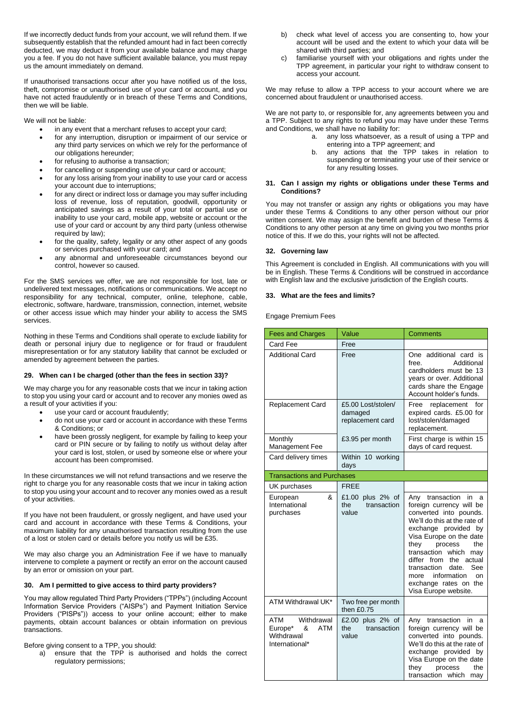If we incorrectly deduct funds from your account, we will refund them. If we subsequently establish that the refunded amount had in fact been correctly deducted, we may deduct it from your available balance and may charge you a fee. If you do not have sufficient available balance, you must repay us the amount immediately on demand.

If unauthorised transactions occur after you have notified us of the loss, theft, compromise or unauthorised use of your card or account, and you have not acted fraudulently or in breach of these Terms and Conditions, then we will be liable.

We will not be liable:

- in any event that a merchant refuses to accept your card;
- for any interruption, disruption or impairment of our service or any third party services on which we rely for the performance of our obligations hereunder;
- for refusing to authorise a transaction;
- for cancelling or suspending use of your card or account;
- for any loss arising from your inability to use your card or access your account due to interruptions;
- for any direct or indirect loss or damage you may suffer including loss of revenue, loss of reputation, goodwill, opportunity or anticipated savings as a result of your total or partial use or inability to use your card, mobile app, website or account or the use of your card or account by any third party (unless otherwise required by law);
- for the quality, safety, legality or any other aspect of any goods or services purchased with your card; and
- any abnormal and unforeseeable circumstances beyond our control, however so caused.

For the SMS services we offer, we are not responsible for lost, late or undelivered text messages, notifications or communications. We accept no responsibility for any technical, computer, online, telephone, cable, electronic, software, hardware, transmission, connection, internet, website or other access issue which may hinder your ability to access the SMS services.

Nothing in these Terms and Conditions shall operate to exclude liability for death or personal injury due to negligence or for fraud or fraudulent misrepresentation or for any statutory liability that cannot be excluded or amended by agreement between the parties.

# **29. When can I be charged (other than the fees in section 33)?**

We may charge you for any reasonable costs that we incur in taking action to stop you using your card or account and to recover any monies owed as a result of your activities if you:

- use your card or account fraudulently;
- do not use your card or account in accordance with these Terms & Conditions; or
- have been grossly negligent, for example by failing to keep your card or PIN secure or by failing to notify us without delay after your card is lost, stolen, or used by someone else or where your account has been compromised.

In these circumstances we will not refund transactions and we reserve the right to charge you for any reasonable costs that we incur in taking action to stop you using your account and to recover any monies owed as a result of your activities.

If you have not been fraudulent, or grossly negligent, and have used your card and account in accordance with these Terms & Conditions, your maximum liability for any unauthorised transaction resulting from the use of a lost or stolen card or details before you notify us will be £35.

We may also charge you an Administration Fee if we have to manually intervene to complete a payment or rectify an error on the account caused by an error or omission on your part.

# **30. Am I permitted to give access to third party providers?**

You may allow regulated Third Party Providers ("TPPs") (including Account Information Service Providers ("AISPs") and Payment Initiation Service Providers ("PISPs")) access to your online account; either to make payments, obtain account balances or obtain information on previous transactions.

# Before giving consent to a TPP, you should:

a) ensure that the TPP is authorised and holds the correct regulatory permissions;

- b) check what level of access you are consenting to, how your account will be used and the extent to which your data will be shared with third parties; and
- c) familiarise yourself with your obligations and rights under the TPP agreement, in particular your right to withdraw consent to access your account.

We may refuse to allow a TPP access to your account where we are concerned about fraudulent or unauthorised access.

We are not party to, or responsible for, any agreements between you and a TPP. Subject to any rights to refund you may have under these Terms and Conditions, we shall have no liability for:

- a. any loss whatsoever, as a result of using a TPP and entering into a TPP agreement; and
- b. any actions that the TPP takes in relation to suspending or terminating your use of their service or for any resulting losses.

## **31. Can I assign my rights or obligations under these Terms and Conditions?**

You may not transfer or assign any rights or obligations you may have under these Terms & Conditions to any other person without our prior written consent. We may assign the benefit and burden of these Terms & Conditions to any other person at any time on giving you two months prior notice of this. If we do this, your rights will not be affected.

# **32. Governing law**

This Agreement is concluded in English. All communications with you will be in English. These Terms & Conditions will be construed in accordance with English law and the exclusive jurisdiction of the English courts.

# **33. What are the fees and limits?**

Engage Premium Fees

| <b>Fees and Charges</b>                                                  | Value                                             | Comments                                                                                                                                                                                                                                                                                                                                                               |
|--------------------------------------------------------------------------|---------------------------------------------------|------------------------------------------------------------------------------------------------------------------------------------------------------------------------------------------------------------------------------------------------------------------------------------------------------------------------------------------------------------------------|
| Card Fee                                                                 | Free                                              |                                                                                                                                                                                                                                                                                                                                                                        |
| <b>Additional Card</b>                                                   | Free                                              | One additional card is<br>Additional<br>free.<br>cardholders must be 13<br>years or over. Additional<br>cards share the Engage<br>Account holder's funds.                                                                                                                                                                                                              |
| <b>Replacement Card</b>                                                  | £5.00 Lost/stolen/<br>damaged<br>replacement card | replacement<br>Free<br>for<br>expired cards. £5.00 for<br>lost/stolen/damaged<br>replacement.                                                                                                                                                                                                                                                                          |
| Monthly<br>Management Fee                                                | £3.95 per month                                   | First charge is within 15<br>days of card request.                                                                                                                                                                                                                                                                                                                     |
| Card delivery times                                                      | Within 10 working<br>days                         |                                                                                                                                                                                                                                                                                                                                                                        |
| <b>Transactions and Purchases</b>                                        |                                                   |                                                                                                                                                                                                                                                                                                                                                                        |
| UK purchases                                                             | <b>FREE</b>                                       |                                                                                                                                                                                                                                                                                                                                                                        |
| &<br>European<br>International<br>purchases                              | £1.00 plus 2% of<br>the<br>transaction<br>value   | Any transaction<br>in<br>a<br>foreign currency will be<br>converted into pounds.<br>We'll do this at the rate of<br>exchange provided<br>by<br>Visa Europe on the date<br>the<br>they<br>process<br>transaction which<br>may<br>differ from<br>the actual<br>See<br>transaction<br>date.<br>information<br>on<br>more<br>exchange rates on the<br>Visa Europe website. |
| ATM Withdrawal UK*                                                       | Two free per month<br>then £0.75                  |                                                                                                                                                                                                                                                                                                                                                                        |
| ATM<br>Withdrawal<br>Europe*<br>&<br>ATM<br>Withdrawal<br>International* | £2.00 plus 2% of<br>the<br>transaction<br>value   | transaction<br>Any<br>in<br>a<br>foreign currency will be<br>converted into pounds.<br>We'll do this at the rate of<br>exchange provided by<br>Visa Europe on the date<br>they<br>process<br>the<br>transaction which<br>may                                                                                                                                           |